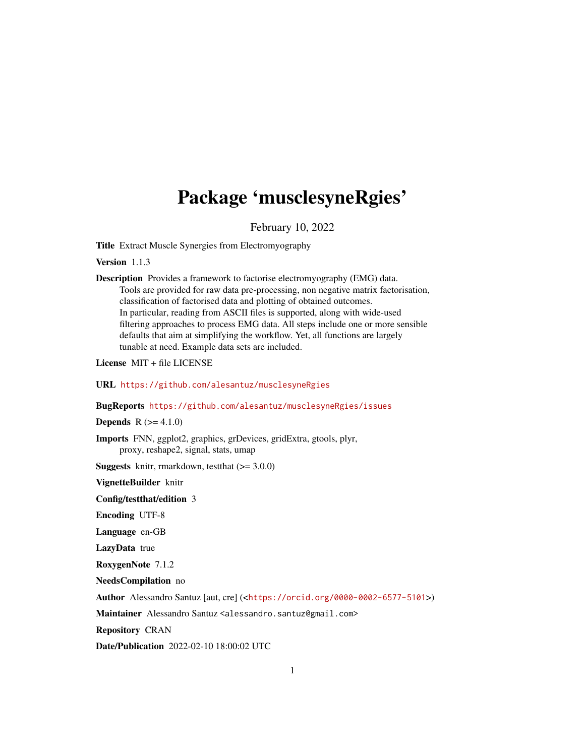# Package 'musclesyneRgies'

February 10, 2022

Title Extract Muscle Synergies from Electromyography

Version 1.1.3

Description Provides a framework to factorise electromyography (EMG) data. Tools are provided for raw data pre-processing, non negative matrix factorisation, classification of factorised data and plotting of obtained outcomes. In particular, reading from ASCII files is supported, along with wide-used filtering approaches to process EMG data. All steps include one or more sensible defaults that aim at simplifying the workflow. Yet, all functions are largely tunable at need. Example data sets are included.

License MIT + file LICENSE

URL <https://github.com/alesantuz/musclesyneRgies>

BugReports <https://github.com/alesantuz/musclesyneRgies/issues>

**Depends**  $R (= 4.1.0)$ 

Imports FNN, ggplot2, graphics, grDevices, gridExtra, gtools, plyr, proxy, reshape2, signal, stats, umap

**Suggests** knitr, rmarkdown, test that  $(>= 3.0.0)$ 

VignetteBuilder knitr

Config/testthat/edition 3

Encoding UTF-8

Language en-GB

LazyData true

RoxygenNote 7.1.2

NeedsCompilation no

Author Alessandro Santuz [aut, cre] (<<https://orcid.org/0000-0002-6577-5101>>)

Maintainer Alessandro Santuz <alessandro.santuz@gmail.com>

Repository CRAN

Date/Publication 2022-02-10 18:00:02 UTC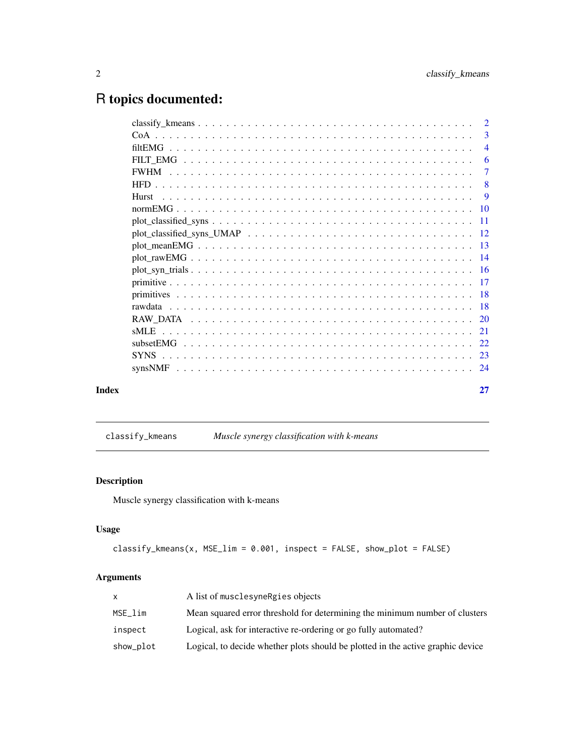## <span id="page-1-0"></span>R topics documented:

|       |         | 3              |
|-------|---------|----------------|
|       |         | $\overline{4}$ |
|       |         | 6              |
|       |         | $\overline{7}$ |
|       |         |                |
|       |         |                |
|       |         |                |
|       |         |                |
|       |         |                |
|       |         |                |
|       |         |                |
|       |         |                |
|       |         |                |
|       |         |                |
|       |         |                |
|       |         |                |
|       | $s$ MLE |                |
|       |         |                |
|       |         |                |
|       |         |                |
| Index |         | 27             |

# classify\_kmeans *Muscle synergy classification with k-means*

### Description

Muscle synergy classification with k-means

#### Usage

```
classify_{\text{kmeans}(x, \text{MSE}_\text{lim} = 0.001, \text{ inspect} = FALSE, \text{show}_\text{plot} = FALSE)
```

|           | A list of musclesyne Regies objects                                             |
|-----------|---------------------------------------------------------------------------------|
| MSE lim   | Mean squared error threshold for determining the minimum number of clusters     |
| inspect   | Logical, ask for interactive re-ordering or go fully automated?                 |
| show_plot | Logical, to decide whether plots should be plotted in the active graphic device |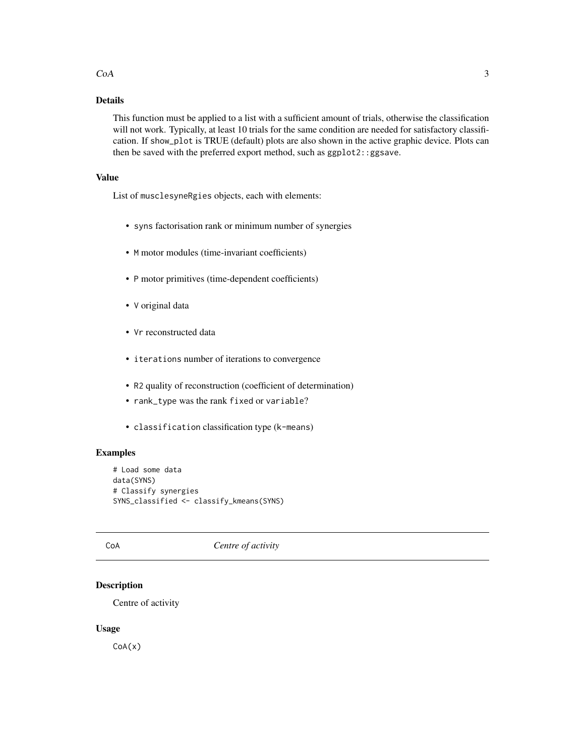#### <span id="page-2-0"></span> $CoA$  3

### Details

This function must be applied to a list with a sufficient amount of trials, otherwise the classification will not work. Typically, at least 10 trials for the same condition are needed for satisfactory classification. If show\_plot is TRUE (default) plots are also shown in the active graphic device. Plots can then be saved with the preferred export method, such as ggplot2::ggsave.

#### Value

List of musclesyneRgies objects, each with elements:

- syns factorisation rank or minimum number of synergies
- M motor modules (time-invariant coefficients)
- P motor primitives (time-dependent coefficients)
- V original data
- Vr reconstructed data
- iterations number of iterations to convergence
- R2 quality of reconstruction (coefficient of determination)
- rank\_type was the rank fixed or variable?
- classification classification type (k-means)

#### Examples

```
# Load some data
data(SYNS)
# Classify synergies
SYNS_classified <- classify_kmeans(SYNS)
```
#### CoA *Centre of activity*

#### Description

Centre of activity

#### Usage

CoA(x)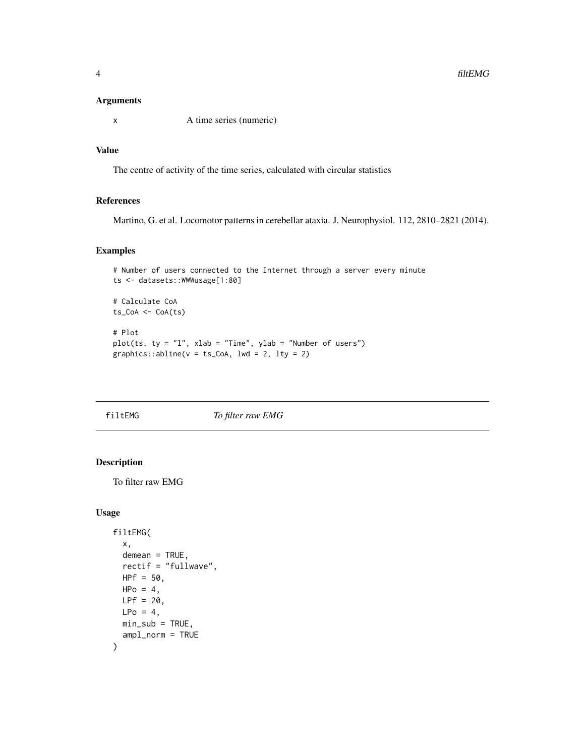#### <span id="page-3-0"></span>Arguments

x A time series (numeric)

#### Value

The centre of activity of the time series, calculated with circular statistics

#### References

Martino, G. et al. Locomotor patterns in cerebellar ataxia. J. Neurophysiol. 112, 2810–2821 (2014).

#### Examples

```
# Number of users connected to the Internet through a server every minute
ts <- datasets::WWWusage[1:80]
# Calculate CoA
ts_CoA <- CoA(ts)
# Plot
```

```
plot(ts, ty = "l", xlab = "Time", ylab = "Number of users")graphics::abline(v = ts\_CoA, lwd = 2, lty = 2)
```
filtEMG *To filter raw EMG*

#### Description

To filter raw EMG

#### Usage

```
filtEMG(
  x,
 demean = TRUE,
  rectif = "fullwave",
 HPF = 50,
 HPo = 4,
 LPF = 20,
 LPo = 4,
 min\_sub = TRUE,ampl_norm = TRUE
)
```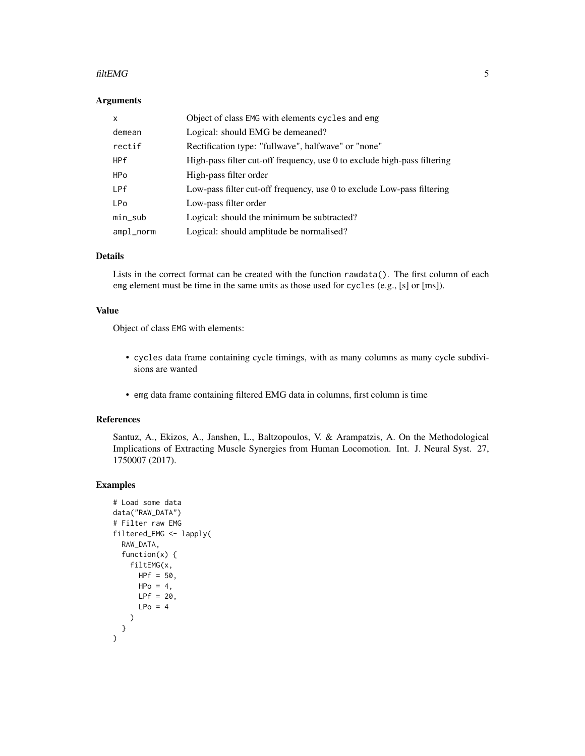#### filtEMG 5

#### Arguments

| X            | Object of class EMG with elements cycles and emg                         |
|--------------|--------------------------------------------------------------------------|
| demean       | Logical: should EMG be demeaned?                                         |
| rectif       | Rectification type: "fullwave", halfwave" or "none"                      |
| <b>HPf</b>   | High-pass filter cut-off frequency, use 0 to exclude high-pass filtering |
| <b>HPo</b>   | High-pass filter order                                                   |
| LPf          | Low-pass filter cut-off frequency, use 0 to exclude Low-pass filtering   |
| <b>LPo</b>   | Low-pass filter order                                                    |
| $min\_sub$   | Logical: should the minimum be subtracted?                               |
| $ampl\_norm$ | Logical: should amplitude be normalised?                                 |

#### Details

Lists in the correct format can be created with the function  $\mathsf{rawdata}()$ . The first column of each emg element must be time in the same units as those used for cycles (e.g., [s] or [ms]).

#### Value

Object of class EMG with elements:

- cycles data frame containing cycle timings, with as many columns as many cycle subdivisions are wanted
- emg data frame containing filtered EMG data in columns, first column is time

#### References

Santuz, A., Ekizos, A., Janshen, L., Baltzopoulos, V. & Arampatzis, A. On the Methodological Implications of Extracting Muscle Synergies from Human Locomotion. Int. J. Neural Syst. 27, 1750007 (2017).

#### Examples

```
# Load some data
data("RAW_DATA")
# Filter raw EMG
filtered_EMG <- lapply(
  RAW_DATA,
  function(x) {
    filtEMG(x,
      HPF = 50,HPo = 4,
      LPF = 20,LPo = 4)
 }
\lambda
```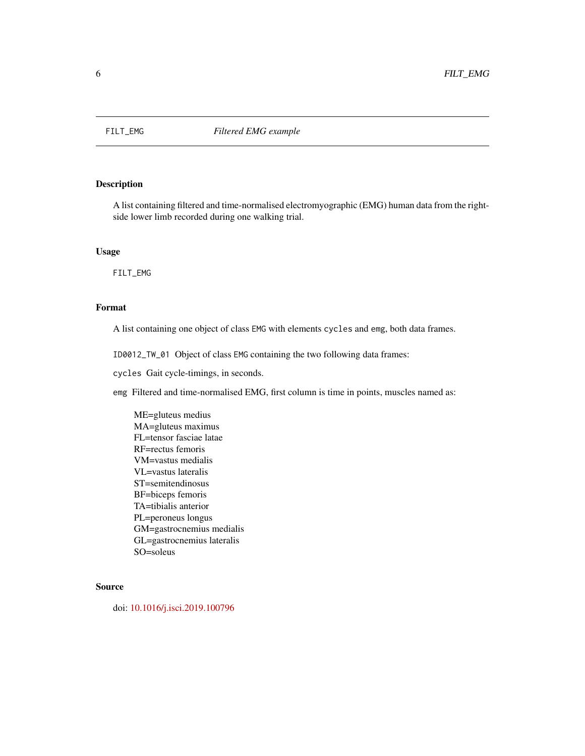<span id="page-5-0"></span>

A list containing filtered and time-normalised electromyographic (EMG) human data from the rightside lower limb recorded during one walking trial.

#### Usage

FILT\_EMG

#### Format

A list containing one object of class EMG with elements cycles and emg, both data frames.

ID0012\_TW\_01 Object of class EMG containing the two following data frames:

cycles Gait cycle-timings, in seconds.

emg Filtered and time-normalised EMG, first column is time in points, muscles named as:

ME=gluteus medius MA=gluteus maximus FL=tensor fasciae latae RF=rectus femoris VM=vastus medialis VL=vastus lateralis ST=semitendinosus BF=biceps femoris TA=tibialis anterior PL=peroneus longus GM=gastrocnemius medialis GL=gastrocnemius lateralis SO=soleus

#### Source

doi: [10.1016/j.isci.2019.100796](https://doi.org/10.1016/j.isci.2019.100796)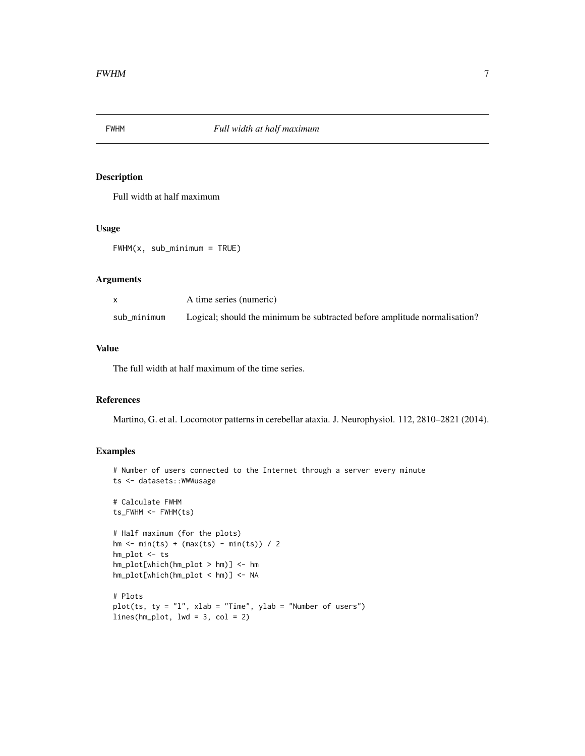<span id="page-6-0"></span>

Full width at half maximum

#### Usage

```
FWHM(x, sub_minimum = TRUE)
```
#### Arguments

|             | A time series (numeric)                                                   |
|-------------|---------------------------------------------------------------------------|
| sub_minimum | Logical; should the minimum be subtracted before amplitude normalisation? |

#### Value

The full width at half maximum of the time series.

#### References

Martino, G. et al. Locomotor patterns in cerebellar ataxia. J. Neurophysiol. 112, 2810–2821 (2014).

#### Examples

```
# Number of users connected to the Internet through a server every minute
ts <- datasets::WWWusage
# Calculate FWHM
ts_FWHM <- FWHM(ts)
# Half maximum (for the plots)
hm \leq min(ts) + (max(ts) - min(ts)) / 2hm_plot <- ts
hm_plot[which(hm_plot > hm)] <- hm
hm_plot[which(hm_plot < hm)] <- NA
# Plots
plot(ts, ty = "l", xlab = "Time", ylab = "Number of users")lines(hm\_plot, lwd = 3, col = 2)
```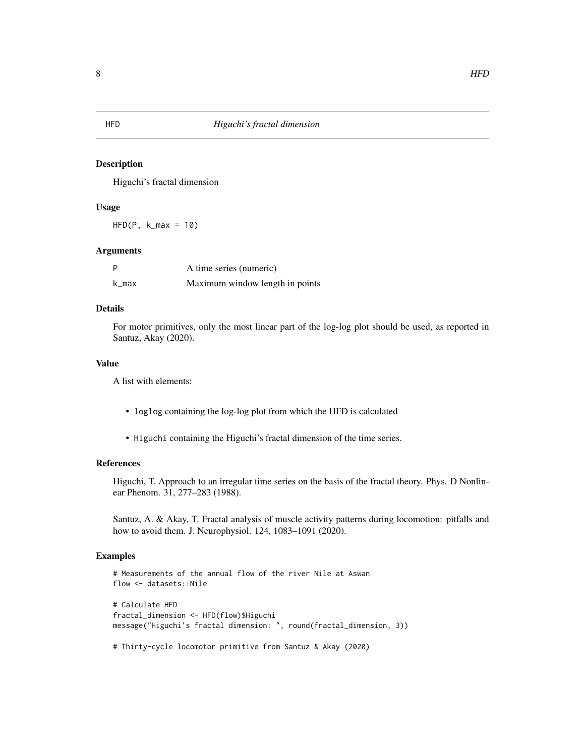Higuchi's fractal dimension

#### Usage

 $HFD(P, k_max = 10)$ 

#### Arguments

| P     | A time series (numeric)         |
|-------|---------------------------------|
| k_max | Maximum window length in points |

#### Details

For motor primitives, only the most linear part of the log-log plot should be used, as reported in Santuz, Akay (2020).

#### Value

A list with elements:

- loglog containing the log-log plot from which the HFD is calculated
- Higuchi containing the Higuchi's fractal dimension of the time series.

#### References

Higuchi, T. Approach to an irregular time series on the basis of the fractal theory. Phys. D Nonlinear Phenom. 31, 277–283 (1988).

Santuz, A. & Akay, T. Fractal analysis of muscle activity patterns during locomotion: pitfalls and how to avoid them. J. Neurophysiol. 124, 1083–1091 (2020).

#### Examples

```
# Measurements of the annual flow of the river Nile at Aswan
flow <- datasets::Nile
# Calculate HFD
fractal_dimension <- HFD(flow)$Higuchi
message("Higuchi's fractal dimension: ", round(fractal_dimension, 3))
```
# Thirty-cycle locomotor primitive from Santuz & Akay (2020)

<span id="page-7-0"></span>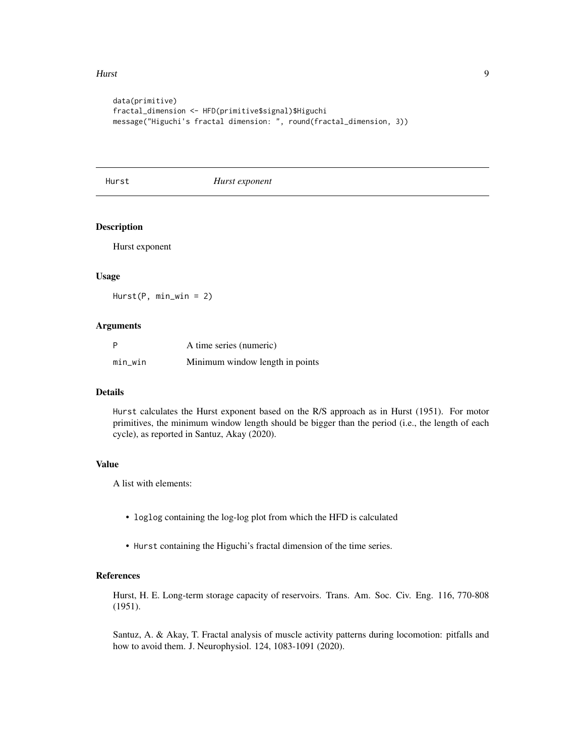#### <span id="page-8-0"></span>Hurst 9

```
data(primitive)
fractal_dimension <- HFD(primitive$signal)$Higuchi
message("Higuchi's fractal dimension: ", round(fractal_dimension, 3))
```
Hurst *Hurst exponent*

#### Description

Hurst exponent

#### Usage

Hurst(P, min\_win = 2)

#### Arguments

| P       | A time series (numeric)         |
|---------|---------------------------------|
| min_win | Minimum window length in points |

#### Details

Hurst calculates the Hurst exponent based on the R/S approach as in Hurst (1951). For motor primitives, the minimum window length should be bigger than the period (i.e., the length of each cycle), as reported in Santuz, Akay (2020).

#### Value

A list with elements:

- loglog containing the log-log plot from which the HFD is calculated
- Hurst containing the Higuchi's fractal dimension of the time series.

#### References

Hurst, H. E. Long-term storage capacity of reservoirs. Trans. Am. Soc. Civ. Eng. 116, 770-808 (1951).

Santuz, A. & Akay, T. Fractal analysis of muscle activity patterns during locomotion: pitfalls and how to avoid them. J. Neurophysiol. 124, 1083-1091 (2020).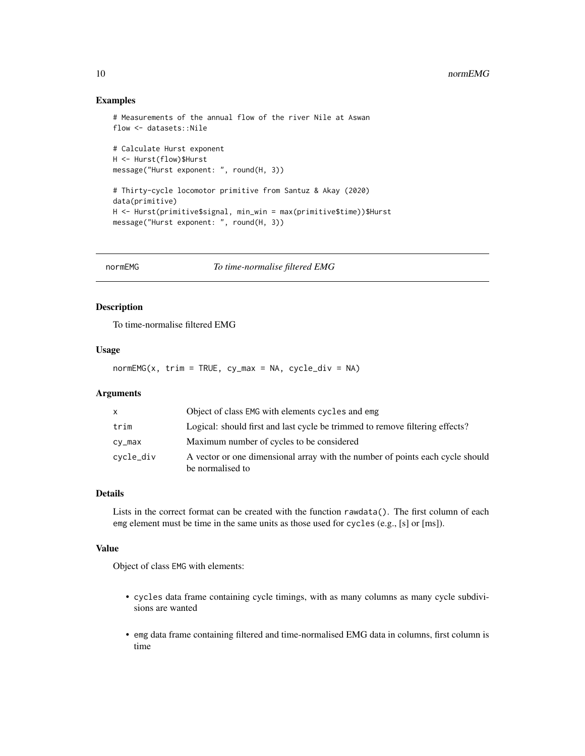#### <span id="page-9-0"></span>Examples

```
# Measurements of the annual flow of the river Nile at Aswan
flow <- datasets::Nile
# Calculate Hurst exponent
H <- Hurst(flow)$Hurst
message("Hurst exponent: ", round(H, 3))
# Thirty-cycle locomotor primitive from Santuz & Akay (2020)
data(primitive)
H <- Hurst(primitive$signal, min_win = max(primitive$time))$Hurst
message("Hurst exponent: ", round(H, 3))
```
normEMG *To time-normalise filtered EMG*

#### Description

To time-normalise filtered EMG

#### Usage

 $normEMG(x, trim = TRUE, cy_max = NA, cycle\_div = NA)$ 

#### Arguments

| X         | Object of class EMG with elements cycles and emg                                                  |
|-----------|---------------------------------------------------------------------------------------------------|
| trim      | Logical: should first and last cycle be trimmed to remove filtering effects?                      |
| $cy_max$  | Maximum number of cycles to be considered                                                         |
| cycle_div | A vector or one dimensional array with the number of points each cycle should<br>be normalised to |

#### Details

Lists in the correct format can be created with the function rawdata(). The first column of each emg element must be time in the same units as those used for cycles (e.g., [s] or [ms]).

#### Value

Object of class EMG with elements:

- cycles data frame containing cycle timings, with as many columns as many cycle subdivisions are wanted
- emg data frame containing filtered and time-normalised EMG data in columns, first column is time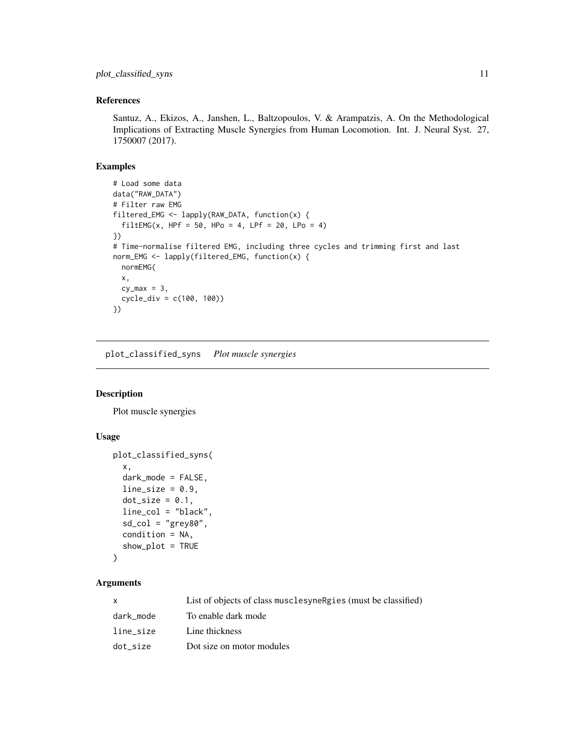#### <span id="page-10-0"></span>References

Santuz, A., Ekizos, A., Janshen, L., Baltzopoulos, V. & Arampatzis, A. On the Methodological Implications of Extracting Muscle Synergies from Human Locomotion. Int. J. Neural Syst. 27, 1750007 (2017).

#### Examples

```
# Load some data
data("RAW_DATA")
# Filter raw EMG
filtered_EMG <- lapply(RAW_DATA, function(x) {
  filterING(x, HPF = 50, HPo = 4, LPF = 20, LPo = 4)})
# Time-normalise filtered EMG, including three cycles and trimming first and last
norm_EMG <- lapply(filtered_EMG, function(x) {
  normEMG(
  x,
  cy_max = 3,
  cycle_div = c(100, 100))
})
```
plot\_classified\_syns *Plot muscle synergies*

#### Description

Plot muscle synergies

#### Usage

```
plot_classified_syns(
  x,
  dark_mode = FALSE,
  line\_size = 0.9,
  dot\_size = 0.1,
  line_col = "black",
  sd\_col = "grey80",condition = NA,
  show_plot = TRUE
\mathcal{L}
```

| x         | List of objects of class musclesyne Rgies (must be classified) |
|-----------|----------------------------------------------------------------|
| dark mode | To enable dark mode                                            |
| line_size | Line thickness                                                 |
| dot_size  | Dot size on motor modules                                      |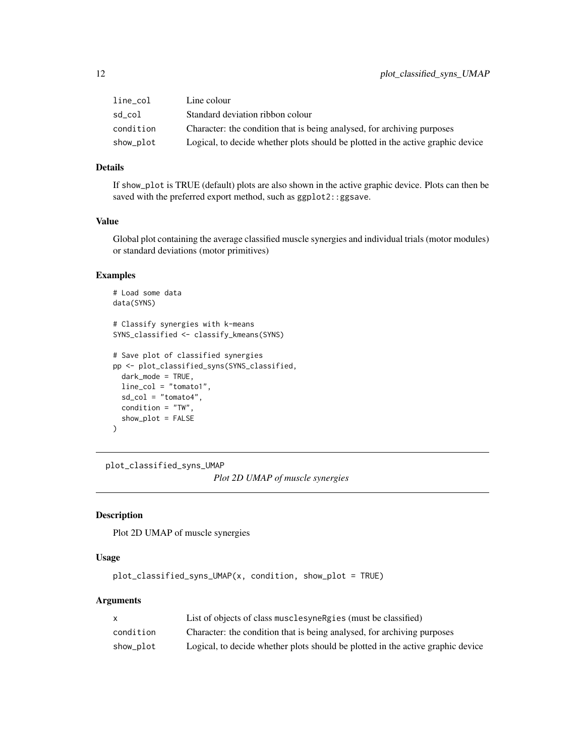<span id="page-11-0"></span>

| $line\_col$ | Line colour                                                                     |
|-------------|---------------------------------------------------------------------------------|
| sd col      | Standard deviation ribbon colour                                                |
| condition   | Character: the condition that is being analysed, for archiving purposes         |
| show_plot   | Logical, to decide whether plots should be plotted in the active graphic device |

#### Details

If show\_plot is TRUE (default) plots are also shown in the active graphic device. Plots can then be saved with the preferred export method, such as ggplot2::ggsave.

#### Value

Global plot containing the average classified muscle synergies and individual trials (motor modules) or standard deviations (motor primitives)

#### Examples

```
# Load some data
data(SYNS)
# Classify synergies with k-means
SYNS_classified <- classify_kmeans(SYNS)
# Save plot of classified synergies
pp <- plot_classified_syns(SYNS_classified,
  dark_mode = TRUE,
  line_col = "tomato1",
  sd\_col = "tomato4",condition = "TW",
  show_plot = FALSE
)
```
plot\_classified\_syns\_UMAP

*Plot 2D UMAP of muscle synergies*

#### Description

Plot 2D UMAP of muscle synergies

#### Usage

```
plot_classified_syns_UMAP(x, condition, show_plot = TRUE)
```

|           | List of objects of class musclesyne Rgies (must be classified)                  |
|-----------|---------------------------------------------------------------------------------|
| condition | Character: the condition that is being analysed, for archiving purposes         |
| show_plot | Logical, to decide whether plots should be plotted in the active graphic device |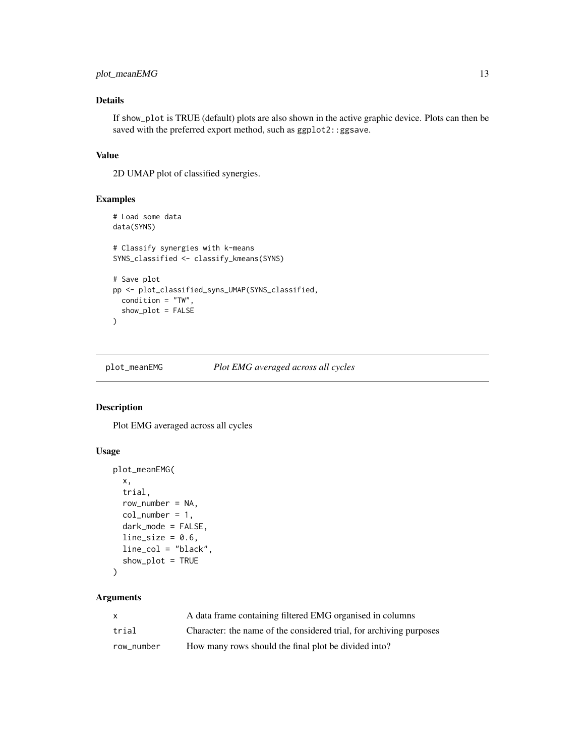#### <span id="page-12-0"></span>plot\_meanEMG 13

#### Details

If show\_plot is TRUE (default) plots are also shown in the active graphic device. Plots can then be saved with the preferred export method, such as ggplot2::ggsave.

#### Value

2D UMAP plot of classified synergies.

#### Examples

```
# Load some data
data(SYNS)
# Classify synergies with k-means
SYNS_classified <- classify_kmeans(SYNS)
# Save plot
pp <- plot_classified_syns_UMAP(SYNS_classified,
  condition = "TW",
  show_plot = FALSE
\overline{\phantom{a}}
```
plot\_meanEMG *Plot EMG averaged across all cycles*

#### Description

Plot EMG averaged across all cycles

#### Usage

```
plot_meanEMG(
  x,
  trial,
  row_number = NA,
  col_number = 1,
  dark_mode = FALSE,
  line\_size = 0.6,
  line_col = "black",
  show_plot = TRUE
)
```

| $\mathsf{x}$ | A data frame containing filtered EMG organised in columns           |
|--------------|---------------------------------------------------------------------|
| trial        | Character: the name of the considered trial, for archiving purposes |
| row_number   | How many rows should the final plot be divided into?                |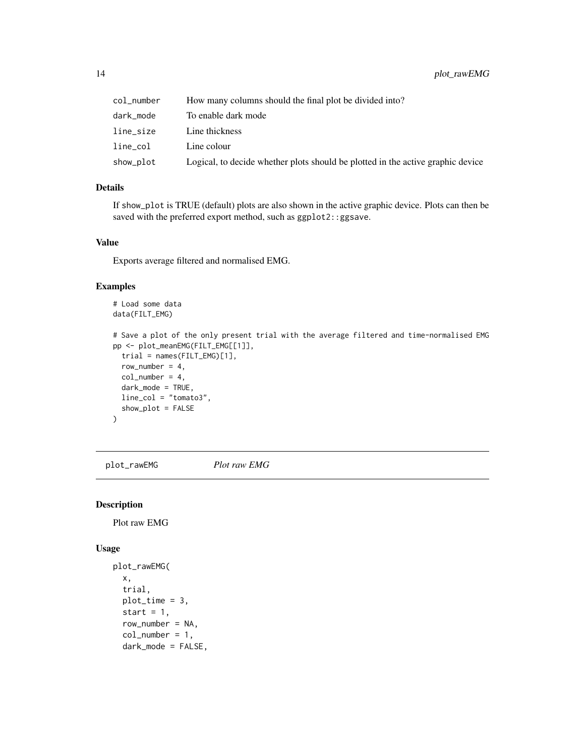<span id="page-13-0"></span>

| col_number | How many columns should the final plot be divided into?                         |
|------------|---------------------------------------------------------------------------------|
| dark_mode  | To enable dark mode                                                             |
| line_size  | Line thickness                                                                  |
| line_col   | Line colour                                                                     |
| show_plot  | Logical, to decide whether plots should be plotted in the active graphic device |

#### Details

If show\_plot is TRUE (default) plots are also shown in the active graphic device. Plots can then be saved with the preferred export method, such as ggplot2::ggsave.

#### Value

Exports average filtered and normalised EMG.

#### Examples

```
# Load some data
data(FILT_EMG)
# Save a plot of the only present trial with the average filtered and time-normalised EMG
pp <- plot_meanEMG(FILT_EMG[[1]],
 trial = names(FILT_EMG)[1],
 row_number = 4,
 col_number = 4,
 dark_mode = TRUE,
 line_col = "tomato3",
 show_plot = FALSE
)
```
plot\_rawEMG *Plot raw EMG*

#### Description

Plot raw EMG

#### Usage

```
plot_rawEMG(
  x,
  trial,
 plot_time = 3,
  start = 1,
  row_number = NA,
  col_number = 1,
  dark_mode = FALSE,
```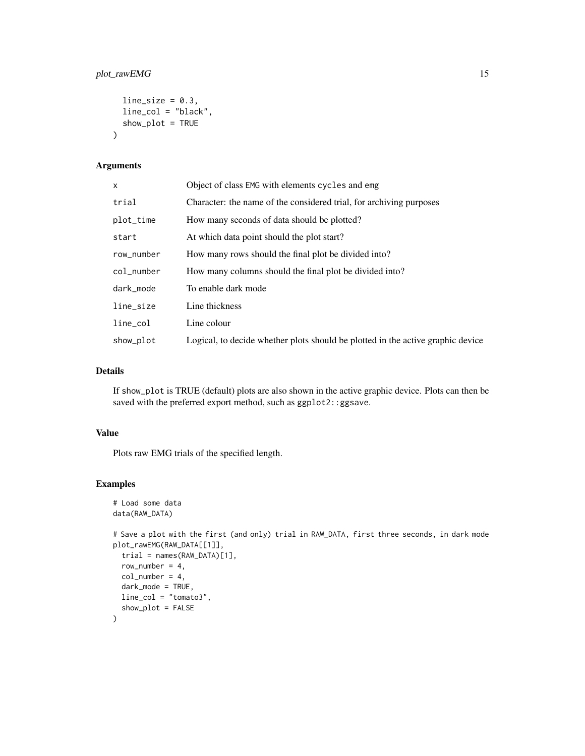#### plot\_rawEMG 15

```
line\_size = 0.3,
  line_col = "black",
  show_plot = TRUE
\mathcal{L}
```
#### Arguments

| $\mathsf{x}$ | Object of class EMG with elements cycles and emg                                |
|--------------|---------------------------------------------------------------------------------|
| trial        | Character: the name of the considered trial, for archiving purposes             |
| plot_time    | How many seconds of data should be plotted?                                     |
| start        | At which data point should the plot start?                                      |
| row_number   | How many rows should the final plot be divided into?                            |
| col_number   | How many columns should the final plot be divided into?                         |
| dark_mode    | To enable dark mode                                                             |
| line_size    | Line thickness                                                                  |
| line_col     | Line colour                                                                     |
| show_plot    | Logical, to decide whether plots should be plotted in the active graphic device |

#### Details

If show\_plot is TRUE (default) plots are also shown in the active graphic device. Plots can then be saved with the preferred export method, such as ggplot2::ggsave.

#### Value

Plots raw EMG trials of the specified length.

#### Examples

# Load some data

```
data(RAW_DATA)
# Save a plot with the first (and only) trial in RAW_DATA, first three seconds, in dark mode
plot_rawEMG(RAW_DATA[[1]],
 trial = names(RAW_DATA)[1],
 row_number = 4,
 col_number = 4,
  dark_mode = TRUE,
  line_col = "tomato3",
  show_plot = FALSE
\mathcal{L}
```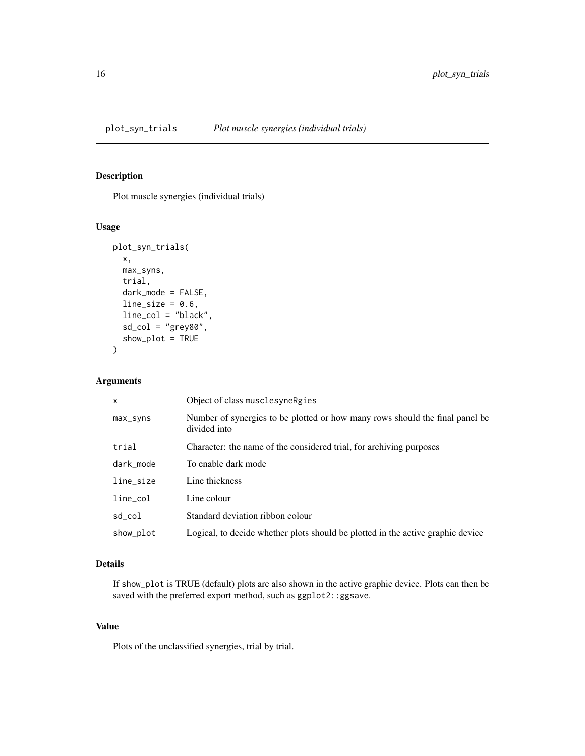<span id="page-15-0"></span>

Plot muscle synergies (individual trials)

#### Usage

```
plot_syn_trials(
  x,
 max_syns,
  trial,
  dark_mode = FALSE,
  line\_size = 0.6,
  line_col = "black",
  sd\_col = "grey80",show_plot = TRUE
)
```
#### Arguments

| X            | Object of class musclesyne Rgies                                                             |
|--------------|----------------------------------------------------------------------------------------------|
| max_syns     | Number of synergies to be plotted or how many rows should the final panel be<br>divided into |
| trial        | Character: the name of the considered trial, for archiving purposes                          |
| dark mode    | To enable dark mode                                                                          |
| line_size    | Line thickness                                                                               |
| $line_{col}$ | Line colour                                                                                  |
| sd_col       | Standard deviation ribbon colour                                                             |
| show_plot    | Logical, to decide whether plots should be plotted in the active graphic device              |

### Details

If show\_plot is TRUE (default) plots are also shown in the active graphic device. Plots can then be saved with the preferred export method, such as ggplot2::ggsave.

#### Value

Plots of the unclassified synergies, trial by trial.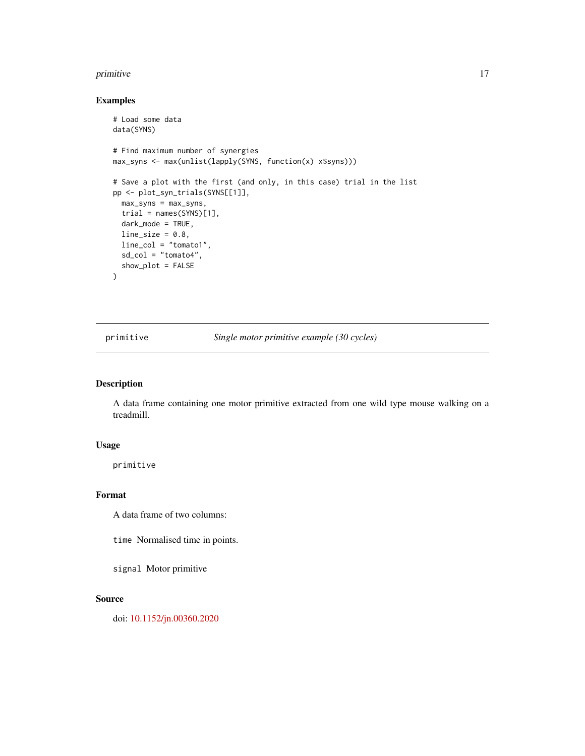#### <span id="page-16-0"></span>primitive the contract of the contract of the contract of the contract of the contract of the contract of the contract of the contract of the contract of the contract of the contract of the contract of the contract of the

#### Examples

```
# Load some data
data(SYNS)
# Find maximum number of synergies
max_syns <- max(unlist(lapply(SYNS, function(x) x$syns)))
# Save a plot with the first (and only, in this case) trial in the list
pp <- plot_syn_trials(SYNS[[1]],
 max_syns = max_syns,
 trial = names(SYNS)[1],
 dark_mode = TRUE,
 line\_size = 0.8,
 line_col = "tomato1",
  sd_col = "tomato4",
  show_plot = FALSE
\mathcal{L}
```
primitive *Single motor primitive example (30 cycles)*

#### Description

A data frame containing one motor primitive extracted from one wild type mouse walking on a treadmill.

#### Usage

primitive

#### Format

A data frame of two columns:

time Normalised time in points.

signal Motor primitive

#### Source

doi: [10.1152/jn.00360.2020](https://doi.org/10.1152/jn.00360.2020)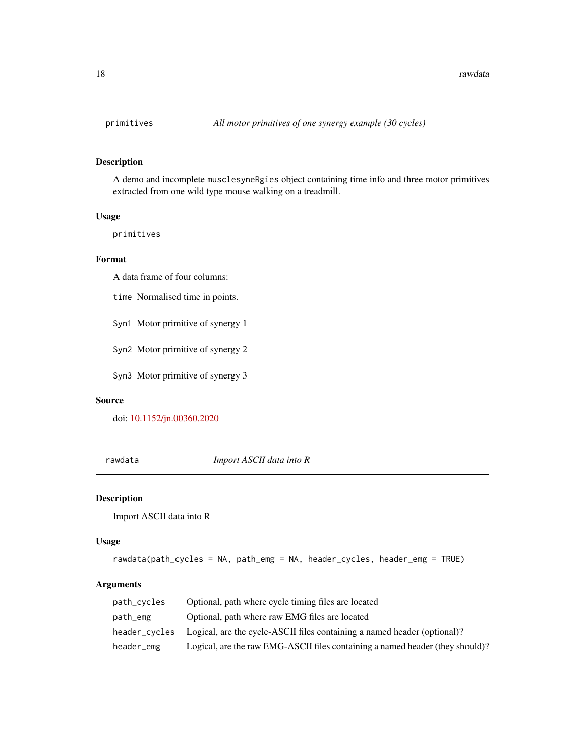<span id="page-17-0"></span>

A demo and incomplete musclesyneRgies object containing time info and three motor primitives extracted from one wild type mouse walking on a treadmill.

#### Usage

primitives

#### Format

A data frame of four columns:

time Normalised time in points.

Syn1 Motor primitive of synergy 1

Syn2 Motor primitive of synergy 2

Syn3 Motor primitive of synergy 3

#### Source

doi: [10.1152/jn.00360.2020](https://doi.org/10.1152/jn.00360.2020)

rawdata *Import ASCII data into R*

#### Description

Import ASCII data into R

#### Usage

```
rawdata(path_cycles = NA, path_emg = NA, header_cycles, header_emg = TRUE)
```

| path_cycles | Optional, path where cycle timing files are located                                    |
|-------------|----------------------------------------------------------------------------------------|
| path_emg    | Optional, path where raw EMG files are located                                         |
|             | header_cycles Logical, are the cycle-ASCII files containing a named header (optional)? |
| header_emg  | Logical, are the raw EMG-ASCII files containing a named header (they should)?          |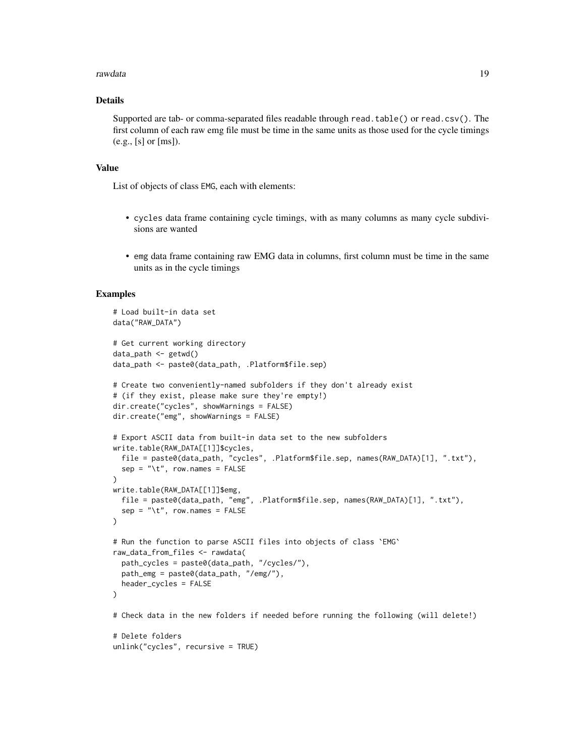#### rawdata 19

#### Details

Supported are tab- or comma-separated files readable through read.table() or read.csv(). The first column of each raw emg file must be time in the same units as those used for the cycle timings (e.g., [s] or [ms]).

#### Value

List of objects of class EMG, each with elements:

- cycles data frame containing cycle timings, with as many columns as many cycle subdivisions are wanted
- emg data frame containing raw EMG data in columns, first column must be time in the same units as in the cycle timings

#### Examples

```
# Load built-in data set
data("RAW_DATA")
# Get current working directory
data_path <- getwd()
data_path <- paste0(data_path, .Platform$file.sep)
# Create two conveniently-named subfolders if they don't already exist
# (if they exist, please make sure they're empty!)
dir.create("cycles", showWarnings = FALSE)
dir.create("emg", showWarnings = FALSE)
# Export ASCII data from built-in data set to the new subfolders
write.table(RAW_DATA[[1]]$cycles,
  file = paste0(data_path, "cycles", .Platform$file.sep, names(RAW_DATA)[1], ".txt"),
  sep = "\t", row.names = FALSE
\lambdawrite.table(RAW_DATA[[1]]$emg,
  file = paste0(data_path, "emg", .Platform$file.sep, names(RAW_DATA)[1], ".txt"),
  sep = "t", row.names = FALSE)
# Run the function to parse ASCII files into objects of class `EMG`
raw_data_from_files <- rawdata(
  path_cycles = paste0(data_path, "/cycles/"),
  path_emg = paste0(data_path, "/emg/"),
  header_cycles = FALSE
)
# Check data in the new folders if needed before running the following (will delete!)
# Delete folders
unlink("cycles", recursive = TRUE)
```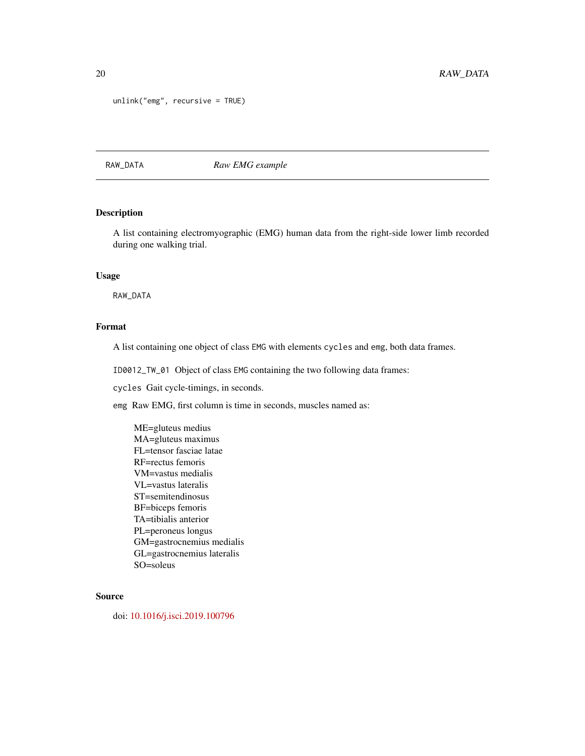```
unlink("emg", recursive = TRUE)
```
#### RAW\_DATA *Raw EMG example*

#### Description

A list containing electromyographic (EMG) human data from the right-side lower limb recorded during one walking trial.

#### Usage

RAW\_DATA

#### Format

A list containing one object of class EMG with elements cycles and emg, both data frames.

ID0012\_TW\_01 Object of class EMG containing the two following data frames:

cycles Gait cycle-timings, in seconds.

emg Raw EMG, first column is time in seconds, muscles named as:

ME=gluteus medius MA=gluteus maximus FL=tensor fasciae latae RF=rectus femoris VM=vastus medialis VL=vastus lateralis ST=semitendinosus BF=biceps femoris TA=tibialis anterior PL=peroneus longus GM=gastrocnemius medialis GL=gastrocnemius lateralis SO=soleus

#### Source

doi: [10.1016/j.isci.2019.100796](https://doi.org/10.1016/j.isci.2019.100796)

<span id="page-19-0"></span>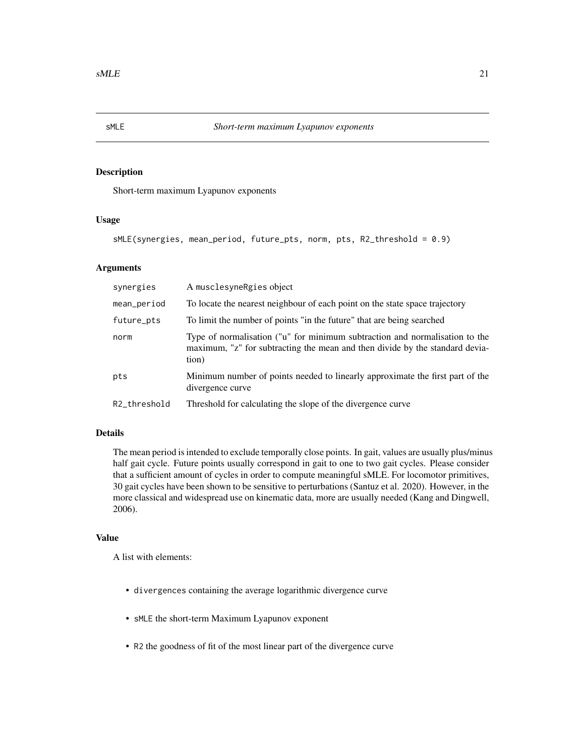<span id="page-20-0"></span>

Short-term maximum Lyapunov exponents

#### Usage

```
sMLE(synergies, mean_period, future_pts, norm, pts, R2_threshold = 0.9)
```
#### Arguments

| synergies    | A musclesyne Rgies object                                                                                                                                            |
|--------------|----------------------------------------------------------------------------------------------------------------------------------------------------------------------|
| mean_period  | To locate the nearest neighbour of each point on the state space trajectory                                                                                          |
| future_pts   | To limit the number of points "in the future" that are being searched                                                                                                |
| norm         | Type of normalisation ("u" for minimum subtraction and normalisation to the<br>maximum, "z" for subtracting the mean and then divide by the standard devia-<br>tion) |
| pts          | Minimum number of points needed to linearly approximate the first part of the<br>divergence curve                                                                    |
| R2_threshold | Threshold for calculating the slope of the divergence curve                                                                                                          |

#### Details

The mean period is intended to exclude temporally close points. In gait, values are usually plus/minus half gait cycle. Future points usually correspond in gait to one to two gait cycles. Please consider that a sufficient amount of cycles in order to compute meaningful sMLE. For locomotor primitives, 30 gait cycles have been shown to be sensitive to perturbations (Santuz et al. 2020). However, in the more classical and widespread use on kinematic data, more are usually needed (Kang and Dingwell, 2006).

#### Value

A list with elements:

- divergences containing the average logarithmic divergence curve
- sMLE the short-term Maximum Lyapunov exponent
- R2 the goodness of fit of the most linear part of the divergence curve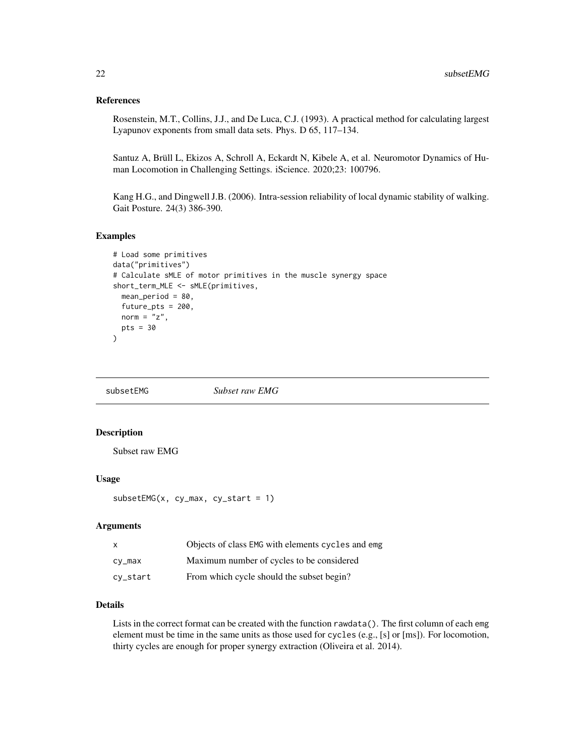#### <span id="page-21-0"></span>References

Rosenstein, M.T., Collins, J.J., and De Luca, C.J. (1993). A practical method for calculating largest Lyapunov exponents from small data sets. Phys. D 65, 117–134.

Santuz A, Brüll L, Ekizos A, Schroll A, Eckardt N, Kibele A, et al. Neuromotor Dynamics of Human Locomotion in Challenging Settings. iScience. 2020;23: 100796.

Kang H.G., and Dingwell J.B. (2006). Intra-session reliability of local dynamic stability of walking. Gait Posture. 24(3) 386-390.

#### Examples

```
# Load some primitives
data("primitives")
# Calculate sMLE of motor primitives in the muscle synergy space
short_term_MLE <- sMLE(primitives,
 mean_period = 80,
 future_pts = 200,
 norm = "z",pts = 30)
```
subsetEMG *Subset raw EMG*

#### Description

Subset raw EMG

#### Usage

```
subsetEMG(x, cy_max, cy\_start = 1)
```
#### Arguments

| $\mathsf{x}$ | Objects of class EMG with elements cycles and emg |
|--------------|---------------------------------------------------|
| cy_max       | Maximum number of cycles to be considered         |
| cy_start     | From which cycle should the subset begin?         |

#### Details

Lists in the correct format can be created with the function rawdata(). The first column of each emg element must be time in the same units as those used for cycles (e.g., [s] or [ms]). For locomotion, thirty cycles are enough for proper synergy extraction (Oliveira et al. 2014).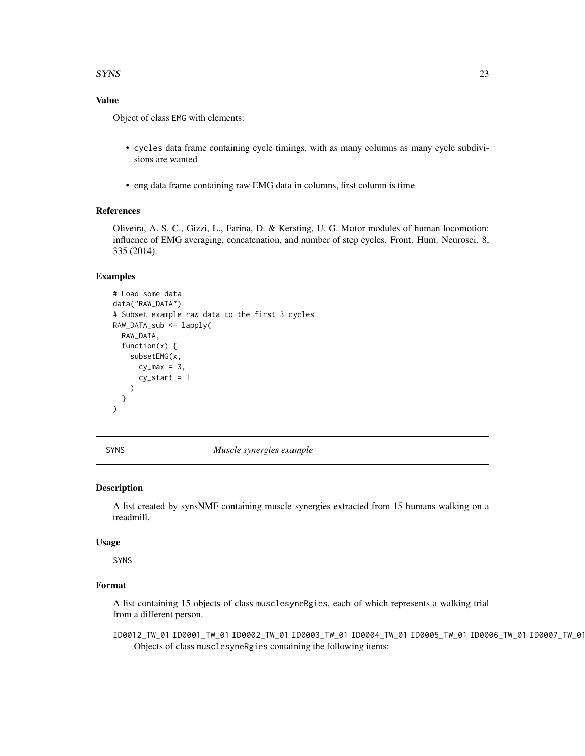#### <span id="page-22-0"></span> $SYNS$  23

#### Value

Object of class EMG with elements:

- cycles data frame containing cycle timings, with as many columns as many cycle subdivisions are wanted
- emg data frame containing raw EMG data in columns, first column is time

#### References

Oliveira, A. S. C., Gizzi, L., Farina, D. & Kersting, U. G. Motor modules of human locomotion: influence of EMG averaging, concatenation, and number of step cycles. Front. Hum. Neurosci. 8, 335 (2014).

#### Examples

```
# Load some data
data("RAW_DATA")
# Subset example raw data to the first 3 cycles
RAW_DATA_sub <- lapply(
 RAW_DATA,
 function(x) {
    subsetEMG(x,
      cy_max = 3,
      cy_start = 1)
 }
)
```
SYNS *Muscle synergies example*

#### **Description**

A list created by synsNMF containing muscle synergies extracted from 15 humans walking on a treadmill.

#### Usage

SYNS

#### Format

A list containing 15 objects of class musclesyneRgies, each of which represents a walking trial from a different person.

ID0012\_TW\_01 ID0001\_TW\_01 ID0002\_TW\_01 ID0003\_TW\_01 ID0004\_TW\_01 ID0005\_TW\_01 ID0006\_TW\_01 ID0007\_TW\_01 ID0008\_TW\_01 ID0009\_TW\_01 ID0010\_TW\_01 ID0011\_TW\_01 ID0012\_TW\_01 ID0013\_TW\_01 ID0014\_TW\_01 ID0015\_TW\_01 Objects of class musclesyneRgies containing the following items: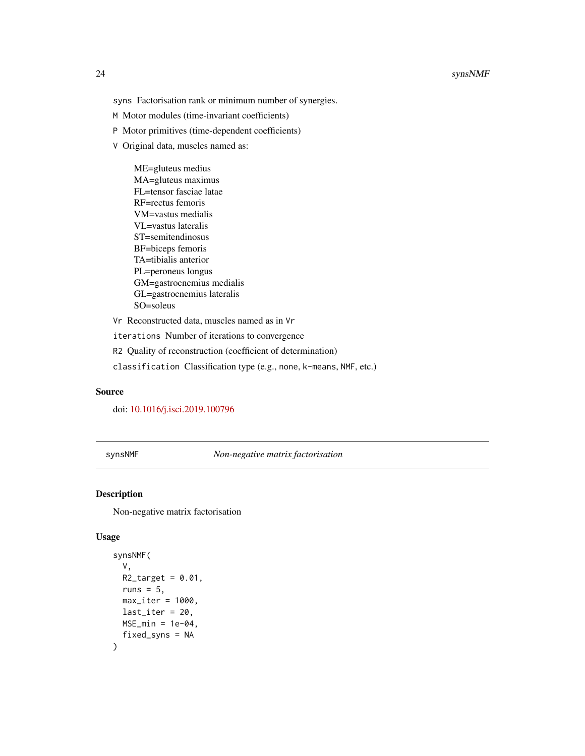#### <span id="page-23-0"></span>24 synsNMF

- M Motor modules (time-invariant coefficients)
- P Motor primitives (time-dependent coefficients)
- V Original data, muscles named as:

ME=gluteus medius MA=gluteus maximus FL=tensor fasciae latae RF=rectus femoris VM=vastus medialis VL=vastus lateralis ST=semitendinosus BF=biceps femoris TA=tibialis anterior PL=peroneus longus GM=gastrocnemius medialis GL=gastrocnemius lateralis SO=soleus

Vr Reconstructed data, muscles named as in Vr

iterations Number of iterations to convergence

R2 Quality of reconstruction (coefficient of determination)

classification Classification type (e.g., none, k-means, NMF, etc.)

#### Source

doi: [10.1016/j.isci.2019.100796](https://doi.org/10.1016/j.isci.2019.100796)

synsNMF *Non-negative matrix factorisation*

#### Description

Non-negative matrix factorisation

#### Usage

```
synsNMF(
  V,
 R2_target = 0.01,
  runs = 5,
 max\_iter = 1000,
 last\_iter = 20,
 MSE\_min = 1e-04,
  fixed_syns = NA
)
```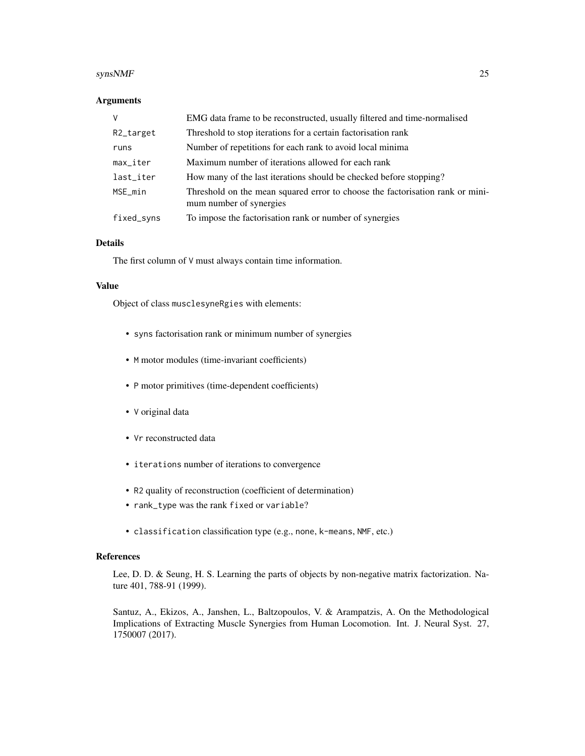#### $synsNMF$  25

#### Arguments

| $\vee$                 | EMG data frame to be reconstructed, usually filtered and time-normalised                                 |
|------------------------|----------------------------------------------------------------------------------------------------------|
| R2_target              | Threshold to stop iterations for a certain factorisation rank                                            |
| runs                   | Number of repetitions for each rank to avoid local minima                                                |
| $max$ <sub>-iter</sub> | Maximum number of iterations allowed for each rank                                                       |
| last_iter              | How many of the last iterations should be checked before stopping?                                       |
| MSE_min                | Threshold on the mean squared error to choose the factorisation rank or mini-<br>mum number of synergies |
| fixed_syns             | To impose the factorisation rank or number of synergies                                                  |

#### Details

The first column of V must always contain time information.

#### Value

Object of class musclesyneRgies with elements:

- syns factorisation rank or minimum number of synergies
- M motor modules (time-invariant coefficients)
- P motor primitives (time-dependent coefficients)
- V original data
- Vr reconstructed data
- iterations number of iterations to convergence
- R2 quality of reconstruction (coefficient of determination)
- rank\_type was the rank fixed or variable?
- classification classification type (e.g., none, k-means, NMF, etc.)

#### References

Lee, D. D. & Seung, H. S. Learning the parts of objects by non-negative matrix factorization. Nature 401, 788-91 (1999).

Santuz, A., Ekizos, A., Janshen, L., Baltzopoulos, V. & Arampatzis, A. On the Methodological Implications of Extracting Muscle Synergies from Human Locomotion. Int. J. Neural Syst. 27, 1750007 (2017).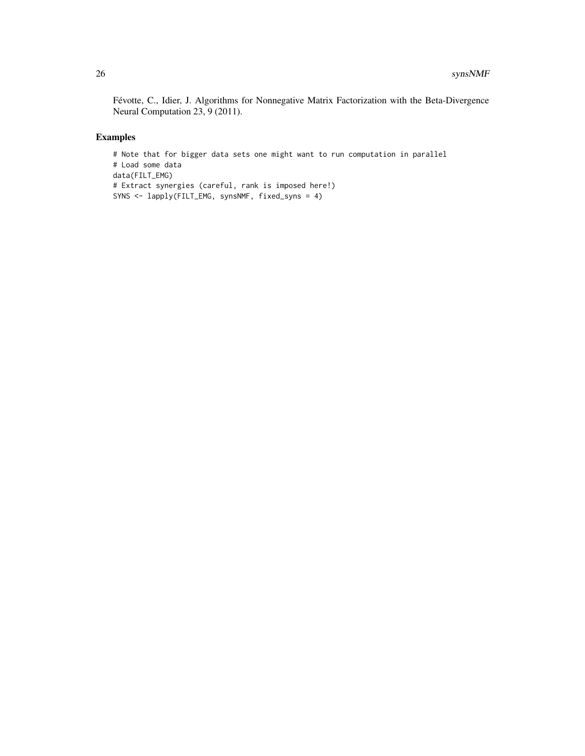Févotte, C., Idier, J. Algorithms for Nonnegative Matrix Factorization with the Beta-Divergence Neural Computation 23, 9 (2011).

#### Examples

```
# Note that for bigger data sets one might want to run computation in parallel
# Load some data
data(FILT_EMG)
# Extract synergies (careful, rank is imposed here!)
SYNS <- lapply(FILT_EMG, synsNMF, fixed_syns = 4)
```